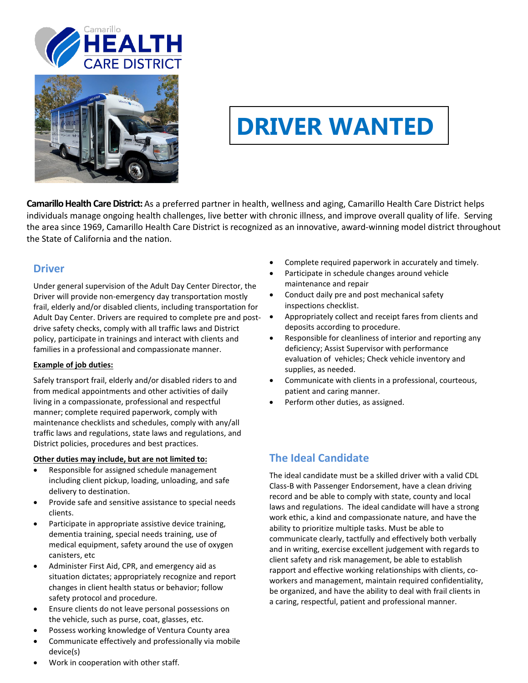



# **DRIVER WANTED**

**Camarillo Health Care District:** As a preferred partner in health, wellness and aging, Camarillo Health Care District helps individuals manage ongoing health challenges, live better with chronic illness, and improve overall quality of life. Serving the area since 1969, Camarillo Health Care District is recognized as an innovative, award-winning model district throughout the State of California and the nation.

### **Driver**

Under general supervision of the Adult Day Center Director, the Driver will provide non-emergency day transportation mostly frail, elderly and/or disabled clients, including transportation for Adult Day Center. Drivers are required to complete pre and post-  $\bullet$ drive safety checks, comply with all traffic laws and District policy, participate in trainings and interact with clients and families in a professional and compassionate manner.

#### **Example of job duties:**

Safely transport frail, elderly and/or disabled riders to and from medical appointments and other activities of daily living in a compassionate, professional and respectful manner; complete required paperwork, comply with maintenance checklists and schedules, comply with any/all traffic laws and regulations, state laws and regulations, and District policies, procedures and best practices.

#### **Other duties may include, but are not limited to:**

- Responsible for assigned schedule management including client pickup, loading, unloading, and safe delivery to destination.
- Provide safe and sensitive assistance to special needs clients.
- Participate in appropriate assistive device training, dementia training, special needs training, use of medical equipment, safety around the use of oxygen canisters, etc
- Administer First Aid, CPR, and emergency aid as situation dictates; appropriately recognize and report changes in client health status or behavior; follow safety protocol and procedure.
- Ensure clients do not leave personal possessions on the vehicle, such as purse, coat, glasses, etc.
- Possess working knowledge of Ventura County area
- Communicate effectively and professionally via mobile device(s)
- Complete required paperwork in accurately and timely.
- Participate in schedule changes around vehicle maintenance and repair
- Conduct daily pre and post mechanical safety inspections checklist.
- Appropriately collect and receipt fares from clients and deposits according to procedure.
- Responsible for cleanliness of interior and reporting any deficiency; Assist Supervisor with performance evaluation of vehicles; Check vehicle inventory and supplies, as needed.
- Communicate with clients in a professional, courteous, patient and caring manner.
- Perform other duties, as assigned.

# **The Ideal Candidate**

The ideal candidate must be a skilled driver with a valid CDL Class-B with Passenger Endorsement, have a clean driving record and be able to comply with state, county and local laws and regulations. The ideal candidate will have a strong work ethic, a kind and compassionate nature, and have the ability to prioritize multiple tasks. Must be able to communicate clearly, tactfully and effectively both verbally and in writing, exercise excellent judgement with regards to client safety and risk management, be able to establish rapport and effective working relationships with clients, coworkers and management, maintain required confidentiality, be organized, and have the ability to deal with frail clients in a caring, respectful, patient and professional manner.

• Work in cooperation with other staff.